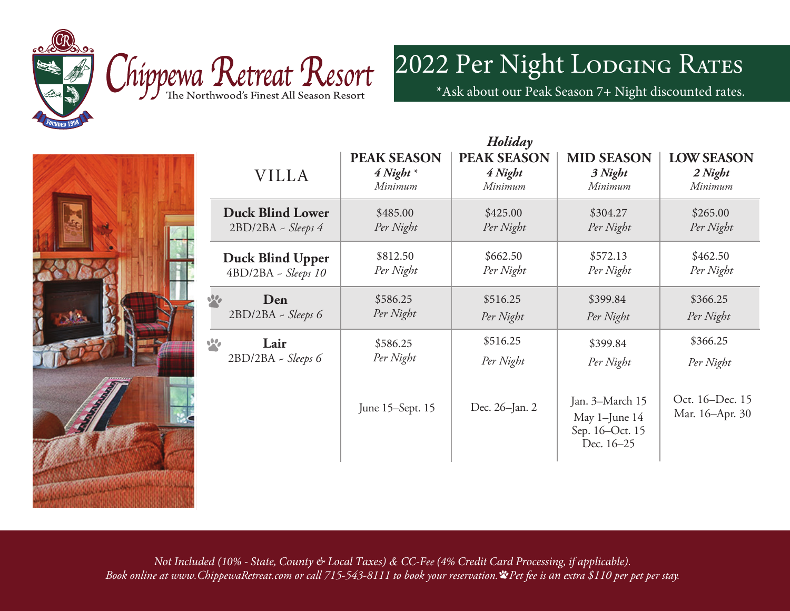



2022 Per Night LODGING RATES

\*Ask about our Peak Season 7+ Night discounted rates.



| Holiday                 |                    |                    |                                                                   |                                    |  |  |
|-------------------------|--------------------|--------------------|-------------------------------------------------------------------|------------------------------------|--|--|
| <b>VILLA</b>            | <b>PEAK SEASON</b> | <b>PEAK SEASON</b> | <b>MID SEASON</b>                                                 | <b>LOW SEASON</b>                  |  |  |
|                         | $4$ Night $*$      | 4 Night            | 3 Night                                                           | 2 Night                            |  |  |
|                         | Minimum            | Minimum            | Minimum                                                           | Minimum                            |  |  |
| <b>Duck Blind Lower</b> | \$485.00           | \$425.00           | \$304.27                                                          | \$265.00                           |  |  |
| $2BD/2BA - Sleeps 4$    | Per Night          | Per Night          | Per Night                                                         | Per Night                          |  |  |
| <b>Duck Blind Upper</b> | \$812.50           | \$662.50           | \$572.13                                                          | \$462.50                           |  |  |
| 4BD/2BA - Sleeps 10     | Per Night          | Per Night          | Per Night                                                         | Per Night                          |  |  |
| Den                     | \$586.25           | \$516.25           | \$399.84                                                          | \$366.25                           |  |  |
| 2BD/2BA - Sleeps 6      | Per Night          | Per Night          | Per Night                                                         | Per Night                          |  |  |
| Lair                    | \$586.25           | \$516.25           | \$399.84                                                          | \$366.25                           |  |  |
| 2BD/2BA - Sleeps 6      | Per Night          | Per Night          | Per Night                                                         | Per Night                          |  |  |
|                         | June 15-Sept. 15   | Dec. 26-Jan. 2     | Jan. 3-March 15<br>May 1-June 14<br>Sep. 16-Oct. 15<br>Dec. 16-25 | Oct. 16-Dec. 15<br>Mar. 16-Apr. 30 |  |  |
|                         |                    |                    |                                                                   |                                    |  |  |

*Holiday*

*Not Included (10% - State, County & Local Taxes) & CC-Fee (4% Credit Card Processing, if applicable). Book online at www.ChippewaRetreat.com or call 715-543-8111 to book your reservation. Pet fee is an extra \$110 per pet per stay.*